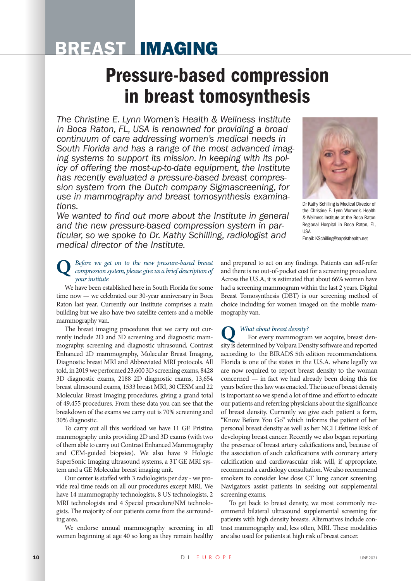## BREAST IMAGING

# Pressure-based compression in breast tomosynthesis

*The Christine E. Lynn Women's Health & Wellness Institute in Boca Raton, FL, USA is renowned for providing a broad continuum of care addressing women's medical needs in South Florida and has a range of the most advanced imaging systems to support its mission. In keeping with its policy of offering the most-up-to-date equipment, the Institute has recently evaluated a pressure-based breast compression system from the Dutch company Sigmascreening, for use in mammography and breast tomosynthesis examinations.* 



Dr Kathy Schilling is Medical Director of the Christine E. Lynn Women's Health & Wellness Institute at the Boca Raton Regional Hospital in Boca Raton, FL, **IISA** Email: KSchilling@baptisthealth.net

*We wanted to find out more about the Institute in general and the new pressure-based compression system in particular, so we spoke to Dr. Kathy Schilling, radiologist and medical director of the Institute.* 

### **Q** *Before we get on to the new pressure-based breast compression system, please give us a brief description of your institute*

We have been established here in South Florida for some time now — we celebrated our 30-year anniversary in Boca Raton last year. Currently our Institute comprises a main building but we also have two satellite centers and a mobile mammography van.

The breast imaging procedures that we carry out currently include 2D and 3D screening and diagnostic mammography, screening and diagnostic ultrasound, Contrast Enhanced 2D mammography, Molecular Breast Imaging, Diagnostic breast MRI and Abbreviated MRI protocols. All told, in 2019 we performed 23,600 3D screening exams, 8428 3D diagnostic exams, 2188 2D diagnostic exams, 13,654 breast ultrasound exams, 1533 breast MRI, 30 CESM and 22 Molecular Breast Imaging procedures, giving a grand total of 49,455 procedures. From these data you can see that the breakdown of the exams we carry out is 70% screening and 30% diagnostic.

To carry out all this workload we have 11 GE Pristina mammography units providing 2D and 3D exams (with two of them able to carry out Contrast Enhanced Mammography and CEM-guided biopsies). We also have 9 Hologic SuperSonic Imaging ultrasound systems, a 3T GE MRI system and a GE Molecular breast imaging unit.

Our center is staffed with 3 radiologists per day - we provide real time reads on all our procedures except MRI. We have 14 mammography technologists, 8 US technologists, 2 MRI technologists and 4 Special procedure/NM technologists. The majority of our patients come from the surrounding area.

We endorse annual mammography screening in all women beginning at age 40 so long as they remain healthy and prepared to act on any findings. Patients can self-refer and there is no out-of-pocket cost for a screening procedure. Across the U.S.A, it is estimated that about 66% women have had a screening mammogram within the last 2 years. Digital Breast Tomosynthesis (DBT) is our screening method of choice including for women imaged on the mobile mammography van.

#### **Q** *What about breast density?*

For every mammogram we acquire, breast density is determined by Volpara Density software and reported according to the BIRADS 5th edition recommendations. Florida is one of the states in the U.S.A. where legally we are now required to report breast density to the woman concerned — in fact we had already been doing this for years before this law was enacted. The issue of breast density is important so we spend a lot of time and effort to educate our patients and referring physicians about the significance of breast density. Currently we give each patient a form, "Know Before You Go" which informs the patient of her personal breast density as well as her NCI Lifetime Risk of developing breast cancer. Recently we also began reporting the presence of breast artery calcifications and, because of the association of such calcifications with coronary artery calcification and cardiovascular risk will, if appropriate, recommend a cardiology consultation. We also recommend smokers to consider low dose CT lung cancer screening. Navigators assist patients in seeking out supplemental screening exams.

To get back to breast density, we most commonly recommend bilateral ultrasound supplemental screening for patients with high density breasts. Alternatives include contrast mammography and, less often, MRI. These modalities are also used for patients at high risk of breast cancer.